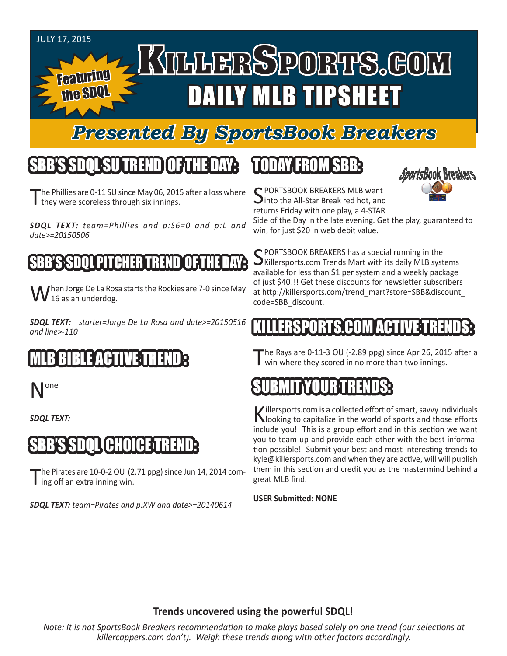#### JULY 17, 2015

Featuring

the SDQL

# KILLERSPORTS.GOM DAILY MLB TIPSHEET

### *Presented By SportsBook Breakers*

#### SBB'S SDQLSU TREND OF THE DAY:

he Phillies are 0-11 SU since May 06, 2015 after a loss where I they were scoreless through six innings.

*SDQL TEXT: team=Phillies and p:S6=0 and p:L and date>=20150506*

#### TH'I FR

When Jorge De La Rosa starts the Rockies are 7-0 since May  $V$  16 as an underdog.

*SDQL TEXT: starter=Jorge De La Rosa and date>=20150516 and line>-110*

### MLB BIBLE ACTIVE TREND :

one

*SDQL TEXT:* 

#### SBB'S SDQL CHOICE TREND:

The Pirates are  $10$ -0-2 OU  $(2.71$  ppg) since Jun 14, 2014 com- $\mathbf I$  ing off an extra inning win.

*SDQL TEXT: team=Pirates and p:XW and date>=20140614*

### TODAY FROM SBB:



C PORTSBOOK BREAKERS MLB went Into the All-Star Break red hot, and returns Friday with one play, a 4-STAR

Side of the Day in the late evening. Get the play, guaranteed to win, for just \$20 in web debit value.

C PORTSBOOK BREAKERS has a special running in the  $\bigcup$ Killersports.com Trends Mart with its daily MLB systems available for less than \$1 per system and a weekly package of just \$40!!! Get these discounts for newsletter subscribers at http://killersports.com/trend\_mart?store=SBB&discount\_ code=SBB\_discount.

#### RTS.COM ACT

The Rays are 0-11-3 OU (-2.89 ppg) since Apr 26, 2015 after a win where they scored in no more than two innings.

### SUBMIT YOUR TRENDS:

Killersports.com is a collected effort of smart, savvy individuals<br>Nooking to capitalize in the world of sports and those efforts include you! This is a group effort and in this section we want you to team up and provide each other with the best information possible! Submit your best and most interesting trends to kyle@killersports.com and when they are active, will will publish them in this section and credit you as the mastermind behind a great MLB find.

#### **USER Submitted: NONE**

#### **Trends uncovered using the powerful SDQL!**

*Note: It is not SportsBook Breakers recommendation to make plays based solely on one trend (our selections at killercappers.com don't). Weigh these trends along with other factors accordingly.*